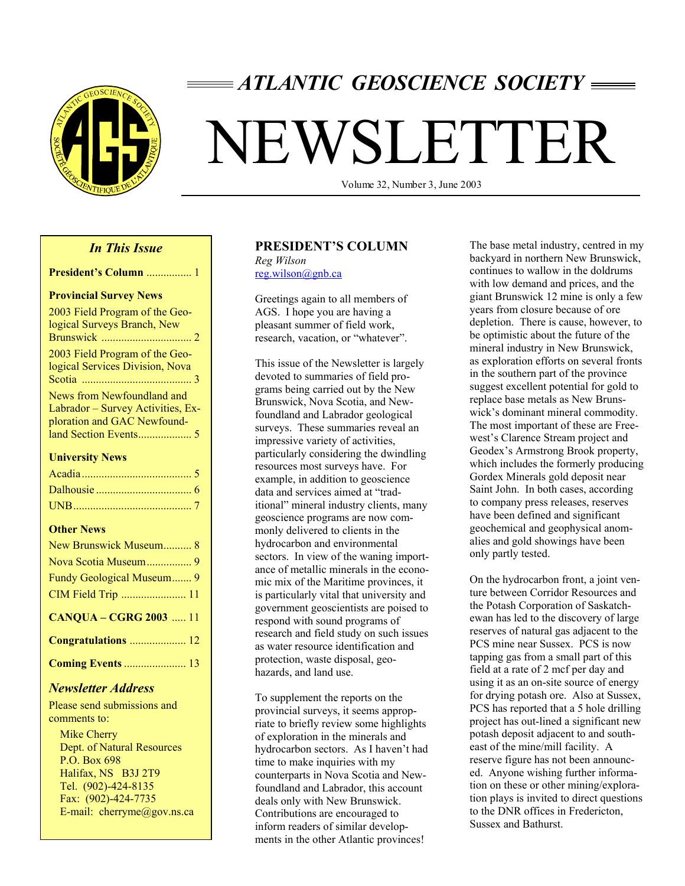

# *ATLANTIC GEOSCIENCE SOCIETY*

# NEWSLETTER

Volume 32, Number 3, June 2003

# *In This Issue*

| <b>President's Column</b> 1 |  |
|-----------------------------|--|
|-----------------------------|--|

#### **Provincial Survey News**

| 2003 Field Program of the Geo-<br>logical Surveys Branch, New                                  |
|------------------------------------------------------------------------------------------------|
| 2003 Field Program of the Geo-<br>logical Services Division, Nova                              |
| News from Newfoundland and<br>Labrador - Survey Activities, Ex-<br>ploration and GAC Newfound- |
| <b>University News</b>                                                                         |
|                                                                                                |
|                                                                                                |
|                                                                                                |
| <b>Other News</b>                                                                              |
| New Brunswick Museum 8                                                                         |
| Nova Scotia Museum 9                                                                           |
| Fundy Geological Museum 9                                                                      |
| CIM Field Trip  11                                                                             |
| <b>CANQUA - CGRG 2003  11</b>                                                                  |
| Congratulations  12                                                                            |
| <b>Coming Events  13</b>                                                                       |

# *Newsletter Address*

Please send submissions and comments to:

 Mike Cherry Dept. of Natural Resources P.O. Box 698 Halifax, NS B3J 2T9 Tel. (902)-424-8135 Fax: (902)-424-7735 E-mail: cherryme@gov.ns.ca

# **PRESIDENT'S COLUMN**

*Reg Wilson*  reg.wilson@gnb.ca

Greetings again to all members of AGS. I hope you are having a pleasant summer of field work, research, vacation, or "whatever".

This issue of the Newsletter is largely devoted to summaries of field programs being carried out by the New Brunswick, Nova Scotia, and Newfoundland and Labrador geological surveys. These summaries reveal an impressive variety of activities, particularly considering the dwindling resources most surveys have. For example, in addition to geoscience data and services aimed at "traditional" mineral industry clients, many geoscience programs are now commonly delivered to clients in the hydrocarbon and environmental sectors. In view of the waning importance of metallic minerals in the economic mix of the Maritime provinces, it is particularly vital that university and government geoscientists are poised to respond with sound programs of research and field study on such issues as water resource identification and protection, waste disposal, geohazards, and land use.

To supplement the reports on the provincial surveys, it seems appropriate to briefly review some highlights of exploration in the minerals and hydrocarbon sectors. As I haven't had time to make inquiries with my counterparts in Nova Scotia and Newfoundland and Labrador, this account deals only with New Brunswick. Contributions are encouraged to inform readers of similar developments in the other Atlantic provinces!

The base metal industry, centred in my backyard in northern New Brunswick, continues to wallow in the doldrums with low demand and prices, and the giant Brunswick 12 mine is only a few years from closure because of ore depletion. There is cause, however, to be optimistic about the future of the mineral industry in New Brunswick, as exploration efforts on several fronts in the southern part of the province suggest excellent potential for gold to replace base metals as New Brunswick's dominant mineral commodity. The most important of these are Freewest's Clarence Stream project and Geodex's Armstrong Brook property, which includes the formerly producing Gordex Minerals gold deposit near Saint John. In both cases, according to company press releases, reserves have been defined and significant geochemical and geophysical anomalies and gold showings have been only partly tested.

On the hydrocarbon front, a joint venture between Corridor Resources and the Potash Corporation of Saskatchewan has led to the discovery of large reserves of natural gas adjacent to the PCS mine near Sussex. PCS is now tapping gas from a small part of this field at a rate of 2 mcf per day and using it as an on-site source of energy for drying potash ore. Also at Sussex, PCS has reported that a 5 hole drilling project has out-lined a significant new potash deposit adjacent to and southeast of the mine/mill facility. A reserve figure has not been announced. Anyone wishing further information on these or other mining/exploration plays is invited to direct questions to the DNR offices in Fredericton, Sussex and Bathurst.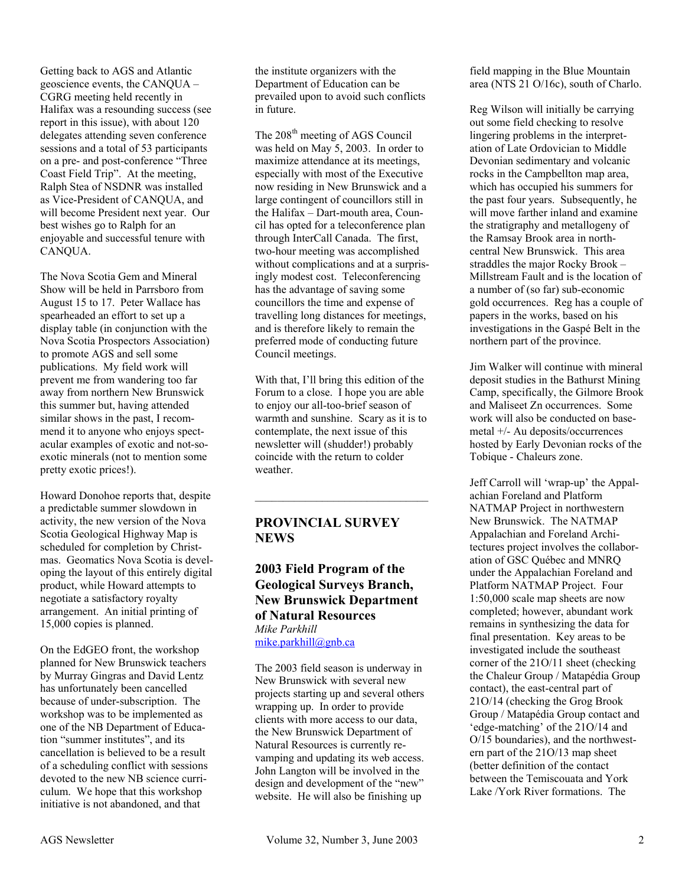Getting back to AGS and Atlantic geoscience events, the CANQUA – CGRG meeting held recently in Halifax was a resounding success (see report in this issue), with about 120 delegates attending seven conference sessions and a total of 53 participants on a pre- and post-conference "Three Coast Field Trip". At the meeting, Ralph Stea of NSDNR was installed as Vice-President of CANQUA, and will become President next year. Our best wishes go to Ralph for an enjoyable and successful tenure with CANQUA.

The Nova Scotia Gem and Mineral Show will be held in Parrsboro from August 15 to 17. Peter Wallace has spearheaded an effort to set up a display table (in conjunction with the Nova Scotia Prospectors Association) to promote AGS and sell some publications. My field work will prevent me from wandering too far away from northern New Brunswick this summer but, having attended similar shows in the past, I recommend it to anyone who enjoys spectacular examples of exotic and not-soexotic minerals (not to mention some pretty exotic prices!).

Howard Donohoe reports that, despite a predictable summer slowdown in activity, the new version of the Nova Scotia Geological Highway Map is scheduled for completion by Christmas. Geomatics Nova Scotia is developing the layout of this entirely digital product, while Howard attempts to negotiate a satisfactory royalty arrangement. An initial printing of 15,000 copies is planned.

On the EdGEO front, the workshop planned for New Brunswick teachers by Murray Gingras and David Lentz has unfortunately been cancelled because of under-subscription. The workshop was to be implemented as one of the NB Department of Education "summer institutes", and its cancellation is believed to be a result of a scheduling conflict with sessions devoted to the new NB science curriculum. We hope that this workshop initiative is not abandoned, and that

the institute organizers with the Department of Education can be prevailed upon to avoid such conflicts in future.

The 208<sup>th</sup> meeting of AGS Council was held on May 5, 2003. In order to maximize attendance at its meetings, especially with most of the Executive now residing in New Brunswick and a large contingent of councillors still in the Halifax – Dart-mouth area, Council has opted for a teleconference plan through InterCall Canada. The first, two-hour meeting was accomplished without complications and at a surprisingly modest cost. Teleconferencing has the advantage of saving some councillors the time and expense of travelling long distances for meetings, and is therefore likely to remain the preferred mode of conducting future Council meetings.

With that, I'll bring this edition of the Forum to a close. I hope you are able to enjoy our all-too-brief season of warmth and sunshine. Scary as it is to contemplate, the next issue of this newsletter will (shudder!) probably coincide with the return to colder weather.

 $\mathcal{L}_\text{max}$  , and the set of the set of the set of the set of the set of the set of the set of the set of the set of the set of the set of the set of the set of the set of the set of the set of the set of the set of the

# **PROVINCIAL SURVEY NEWS**

**2003 Field Program of the Geological Surveys Branch, New Brunswick Department of Natural Resources**  *Mike Parkhill*  mike.parkhill@gnb.ca

The 2003 field season is underway in New Brunswick with several new projects starting up and several others wrapping up. In order to provide clients with more access to our data, the New Brunswick Department of Natural Resources is currently revamping and updating its web access. John Langton will be involved in the design and development of the "new" website. He will also be finishing up

field mapping in the Blue Mountain area (NTS 21 O/16c), south of Charlo.

Reg Wilson will initially be carrying out some field checking to resolve lingering problems in the interpretation of Late Ordovician to Middle Devonian sedimentary and volcanic rocks in the Campbellton map area, which has occupied his summers for the past four years. Subsequently, he will move farther inland and examine the stratigraphy and metallogeny of the Ramsay Brook area in northcentral New Brunswick. This area straddles the major Rocky Brook – Millstream Fault and is the location of a number of (so far) sub-economic gold occurrences. Reg has a couple of papers in the works, based on his investigations in the Gaspé Belt in the northern part of the province.

Jim Walker will continue with mineral deposit studies in the Bathurst Mining Camp, specifically, the Gilmore Brook and Maliseet Zn occurrences. Some work will also be conducted on basemetal +/- Au deposits/occurrences hosted by Early Devonian rocks of the Tobique - Chaleurs zone.

Jeff Carroll will 'wrap-up' the Appalachian Foreland and Platform NATMAP Project in northwestern New Brunswick. The NATMAP Appalachian and Foreland Architectures project involves the collaboration of GSC Québec and MNRQ under the Appalachian Foreland and Platform NATMAP Project. Four 1:50,000 scale map sheets are now completed; however, abundant work remains in synthesizing the data for final presentation. Key areas to be investigated include the southeast corner of the 21O/11 sheet (checking the Chaleur Group / Matapédia Group contact), the east-central part of 21O/14 (checking the Grog Brook Group / Matapédia Group contact and 'edge-matching' of the 21O/14 and O/15 boundaries), and the northwestern part of the 21O/13 map sheet (better definition of the contact between the Temiscouata and York Lake /York River formations. The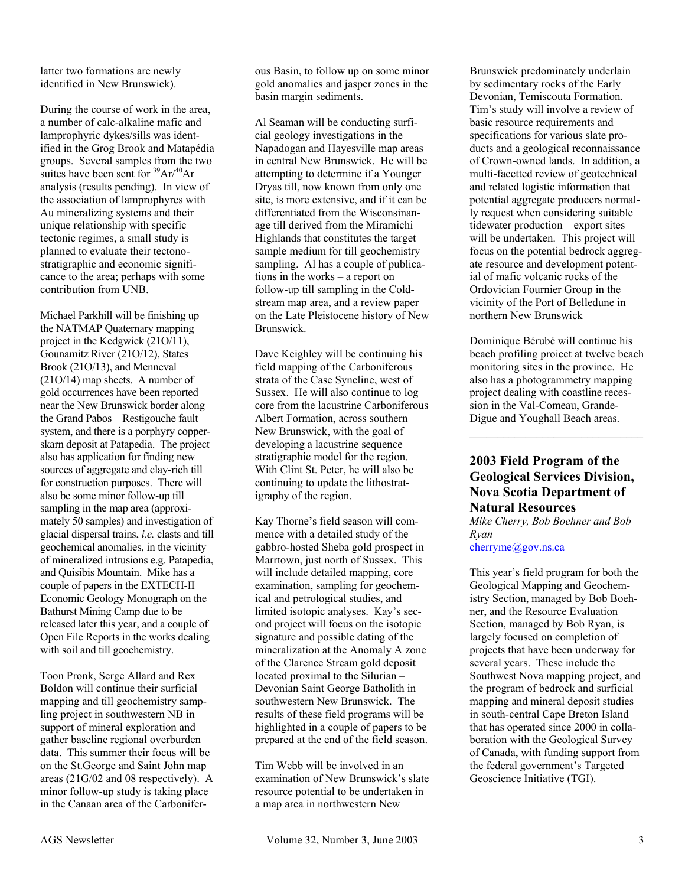latter two formations are newly identified in New Brunswick).

During the course of work in the area, a number of calc-alkaline mafic and lamprophyric dykes/sills was identified in the Grog Brook and Matapédia groups. Several samples from the two suites have been sent for  $^{39}Ar/^{40}Ar$ analysis (results pending). In view of the association of lamprophyres with Au mineralizing systems and their unique relationship with specific tectonic regimes, a small study is planned to evaluate their tectonostratigraphic and economic significance to the area; perhaps with some contribution from UNB.

Michael Parkhill will be finishing up the NATMAP Quaternary mapping project in the Kedgwick (21O/11), Gounamitz River (21O/12), States Brook (21O/13), and Menneval (21O/14) map sheets. A number of gold occurrences have been reported near the New Brunswick border along the Grand Pabos – Restigouche fault system, and there is a porphyry copperskarn deposit at Patapedia. The project also has application for finding new sources of aggregate and clay-rich till for construction purposes. There will also be some minor follow-up till sampling in the map area (approximately 50 samples) and investigation of glacial dispersal trains, *i.e.* clasts and till geochemical anomalies, in the vicinity of mineralized intrusions e.g. Patapedia, and Quisibis Mountain. Mike has a couple of papers in the EXTECH-II Economic Geology Monograph on the Bathurst Mining Camp due to be released later this year, and a couple of Open File Reports in the works dealing with soil and till geochemistry.

Toon Pronk, Serge Allard and Rex Boldon will continue their surficial mapping and till geochemistry sampling project in southwestern NB in support of mineral exploration and gather baseline regional overburden data. This summer their focus will be on the St.George and Saint John map areas (21G/02 and 08 respectively). A minor follow-up study is taking place in the Canaan area of the Carboniferous Basin, to follow up on some minor gold anomalies and jasper zones in the basin margin sediments.

Al Seaman will be conducting surficial geology investigations in the Napadogan and Hayesville map areas in central New Brunswick. He will be attempting to determine if a Younger Dryas till, now known from only one site, is more extensive, and if it can be differentiated from the Wisconsinanage till derived from the Miramichi Highlands that constitutes the target sample medium for till geochemistry sampling. Al has a couple of publications in the works – a report on follow-up till sampling in the Coldstream map area, and a review paper on the Late Pleistocene history of New Brunswick.

Dave Keighley will be continuing his field mapping of the Carboniferous strata of the Case Syncline, west of Sussex. He will also continue to log core from the lacustrine Carboniferous Albert Formation, across southern New Brunswick, with the goal of developing a lacustrine sequence stratigraphic model for the region. With Clint St. Peter, he will also be continuing to update the lithostratigraphy of the region.

Kay Thorne's field season will commence with a detailed study of the gabbro-hosted Sheba gold prospect in Marrtown, just north of Sussex. This will include detailed mapping, core examination, sampling for geochemical and petrological studies, and limited isotopic analyses. Kay's second project will focus on the isotopic signature and possible dating of the mineralization at the Anomaly A zone of the Clarence Stream gold deposit located proximal to the Silurian – Devonian Saint George Batholith in southwestern New Brunswick. The results of these field programs will be highlighted in a couple of papers to be prepared at the end of the field season.

Tim Webb will be involved in an examination of New Brunswick's slate resource potential to be undertaken in a map area in northwestern New

Brunswick predominately underlain by sedimentary rocks of the Early Devonian, Temiscouta Formation. Tim's study will involve a review of basic resource requirements and specifications for various slate products and a geological reconnaissance of Crown-owned lands. In addition, a multi-facetted review of geotechnical and related logistic information that potential aggregate producers normally request when considering suitable tidewater production – export sites will be undertaken. This project will focus on the potential bedrock aggregate resource and development potential of mafic volcanic rocks of the Ordovician Fournier Group in the vicinity of the Port of Belledune in northern New Brunswick

Dominique Bérubé will continue his beach profiling proiect at twelve beach monitoring sites in the province. He also has a photogrammetry mapping project dealing with coastline recession in the Val-Comeau, Grande-Digue and Youghall Beach areas.

 $\mathcal{L}_\text{max}$ 

# **2003 Field Program of the Geological Services Division, Nova Scotia Department of Natural Resources**

*Mike Cherry, Bob Boehner and Bob Ryan* 

cherryme@gov.ns.ca

This year's field program for both the Geological Mapping and Geochemistry Section, managed by Bob Boehner, and the Resource Evaluation Section, managed by Bob Ryan, is largely focused on completion of projects that have been underway for several years. These include the Southwest Nova mapping project, and the program of bedrock and surficial mapping and mineral deposit studies in south-central Cape Breton Island that has operated since 2000 in collaboration with the Geological Survey of Canada, with funding support from the federal government's Targeted Geoscience Initiative (TGI).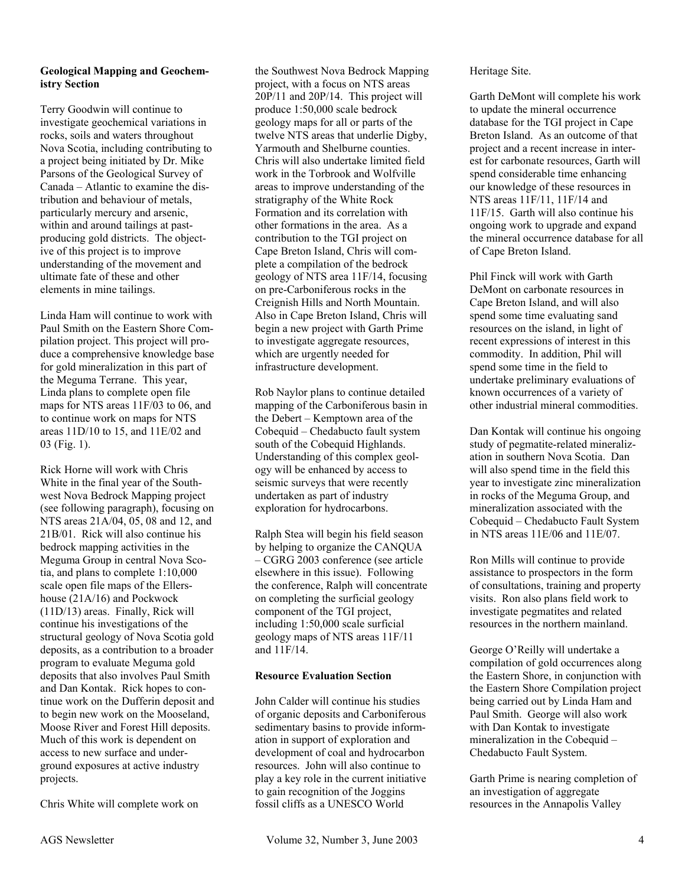#### **Geological Mapping and Geochemistry Section**

Terry Goodwin will continue to investigate geochemical variations in rocks, soils and waters throughout Nova Scotia, including contributing to a project being initiated by Dr. Mike Parsons of the Geological Survey of Canada – Atlantic to examine the distribution and behaviour of metals, particularly mercury and arsenic, within and around tailings at pastproducing gold districts. The objective of this project is to improve understanding of the movement and ultimate fate of these and other elements in mine tailings.

Linda Ham will continue to work with Paul Smith on the Eastern Shore Compilation project. This project will produce a comprehensive knowledge base for gold mineralization in this part of the Meguma Terrane. This year, Linda plans to complete open file maps for NTS areas 11F/03 to 06, and to continue work on maps for NTS areas 11D/10 to 15, and 11E/02 and 03 (Fig. 1).

Rick Horne will work with Chris White in the final year of the Southwest Nova Bedrock Mapping project (see following paragraph), focusing on NTS areas 21A/04, 05, 08 and 12, and 21B/01. Rick will also continue his bedrock mapping activities in the Meguma Group in central Nova Scotia, and plans to complete 1:10,000 scale open file maps of the Ellershouse (21A/16) and Pockwock (11D/13) areas. Finally, Rick will continue his investigations of the structural geology of Nova Scotia gold deposits, as a contribution to a broader program to evaluate Meguma gold deposits that also involves Paul Smith and Dan Kontak. Rick hopes to continue work on the Dufferin deposit and to begin new work on the Mooseland, Moose River and Forest Hill deposits. Much of this work is dependent on access to new surface and underground exposures at active industry projects.

Chris White will complete work on

the Southwest Nova Bedrock Mapping project, with a focus on NTS areas 20P/11 and 20P/14. This project will produce 1:50,000 scale bedrock geology maps for all or parts of the twelve NTS areas that underlie Digby, Yarmouth and Shelburne counties. Chris will also undertake limited field work in the Torbrook and Wolfville areas to improve understanding of the stratigraphy of the White Rock Formation and its correlation with other formations in the area. As a contribution to the TGI project on Cape Breton Island, Chris will complete a compilation of the bedrock geology of NTS area 11F/14, focusing on pre-Carboniferous rocks in the Creignish Hills and North Mountain. Also in Cape Breton Island, Chris will begin a new project with Garth Prime to investigate aggregate resources, which are urgently needed for infrastructure development.

Rob Naylor plans to continue detailed mapping of the Carboniferous basin in the Debert – Kemptown area of the Cobequid – Chedabucto fault system south of the Cobequid Highlands. Understanding of this complex geology will be enhanced by access to seismic surveys that were recently undertaken as part of industry exploration for hydrocarbons.

Ralph Stea will begin his field season by helping to organize the CANQUA – CGRG 2003 conference (see article elsewhere in this issue). Following the conference, Ralph will concentrate on completing the surficial geology component of the TGI project, including 1:50,000 scale surficial geology maps of NTS areas 11F/11 and 11F/14.

#### **Resource Evaluation Section**

John Calder will continue his studies of organic deposits and Carboniferous sedimentary basins to provide information in support of exploration and development of coal and hydrocarbon resources. John will also continue to play a key role in the current initiative to gain recognition of the Joggins fossil cliffs as a UNESCO World

#### Heritage Site.

Garth DeMont will complete his work to update the mineral occurrence database for the TGI project in Cape Breton Island. As an outcome of that project and a recent increase in interest for carbonate resources, Garth will spend considerable time enhancing our knowledge of these resources in NTS areas 11F/11, 11F/14 and 11F/15. Garth will also continue his ongoing work to upgrade and expand the mineral occurrence database for all of Cape Breton Island.

Phil Finck will work with Garth DeMont on carbonate resources in Cape Breton Island, and will also spend some time evaluating sand resources on the island, in light of recent expressions of interest in this commodity. In addition, Phil will spend some time in the field to undertake preliminary evaluations of known occurrences of a variety of other industrial mineral commodities.

Dan Kontak will continue his ongoing study of pegmatite-related mineralization in southern Nova Scotia. Dan will also spend time in the field this year to investigate zinc mineralization in rocks of the Meguma Group, and mineralization associated with the Cobequid – Chedabucto Fault System in NTS areas 11E/06 and 11E/07.

Ron Mills will continue to provide assistance to prospectors in the form of consultations, training and property visits. Ron also plans field work to investigate pegmatites and related resources in the northern mainland.

George O'Reilly will undertake a compilation of gold occurrences along the Eastern Shore, in conjunction with the Eastern Shore Compilation project being carried out by Linda Ham and Paul Smith. George will also work with Dan Kontak to investigate mineralization in the Cobequid – Chedabucto Fault System.

Garth Prime is nearing completion of an investigation of aggregate resources in the Annapolis Valley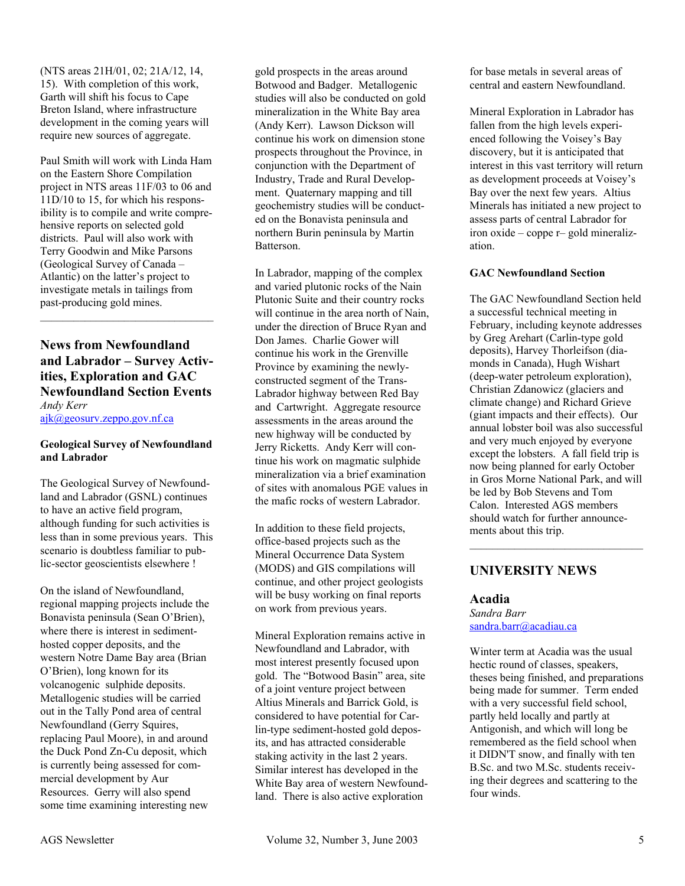(NTS areas 21H/01, 02; 21A/12, 14, 15). With completion of this work, Garth will shift his focus to Cape Breton Island, where infrastructure development in the coming years will require new sources of aggregate.

Paul Smith will work with Linda Ham on the Eastern Shore Compilation project in NTS areas 11F/03 to 06 and 11D/10 to 15, for which his responsibility is to compile and write comprehensive reports on selected gold districts. Paul will also work with Terry Goodwin and Mike Parsons (Geological Survey of Canada – Atlantic) on the latter's project to investigate metals in tailings from past-producing gold mines.

# **News from Newfoundland and Labrador – Survey Activities, Exploration and GAC Newfoundland Section Events**  *Andy Kerr*

 $\mathcal{L}_\text{max}$ 

ajk@geosurv.zeppo.gov.nf.ca

#### **Geological Survey of Newfoundland and Labrador**

The Geological Survey of Newfoundland and Labrador (GSNL) continues to have an active field program, although funding for such activities is less than in some previous years. This scenario is doubtless familiar to public-sector geoscientists elsewhere !

On the island of Newfoundland, regional mapping projects include the Bonavista peninsula (Sean O'Brien), where there is interest in sedimenthosted copper deposits, and the western Notre Dame Bay area (Brian O'Brien), long known for its volcanogenic sulphide deposits. Metallogenic studies will be carried out in the Tally Pond area of central Newfoundland (Gerry Squires, replacing Paul Moore), in and around the Duck Pond Zn-Cu deposit, which is currently being assessed for commercial development by Aur Resources. Gerry will also spend some time examining interesting new

gold prospects in the areas around Botwood and Badger. Metallogenic studies will also be conducted on gold mineralization in the White Bay area (Andy Kerr). Lawson Dickson will continue his work on dimension stone prospects throughout the Province, in conjunction with the Department of Industry, Trade and Rural Development. Quaternary mapping and till geochemistry studies will be conducted on the Bonavista peninsula and northern Burin peninsula by Martin Batterson.

In Labrador, mapping of the complex and varied plutonic rocks of the Nain Plutonic Suite and their country rocks will continue in the area north of Nain. under the direction of Bruce Ryan and Don James. Charlie Gower will continue his work in the Grenville Province by examining the newlyconstructed segment of the Trans-Labrador highway between Red Bay and Cartwright. Aggregate resource assessments in the areas around the new highway will be conducted by Jerry Ricketts. Andy Kerr will continue his work on magmatic sulphide mineralization via a brief examination of sites with anomalous PGE values in the mafic rocks of western Labrador.

In addition to these field projects, office-based projects such as the Mineral Occurrence Data System (MODS) and GIS compilations will continue, and other project geologists will be busy working on final reports on work from previous years.

Mineral Exploration remains active in Newfoundland and Labrador, with most interest presently focused upon gold. The "Botwood Basin" area, site of a joint venture project between Altius Minerals and Barrick Gold, is considered to have potential for Carlin-type sediment-hosted gold deposits, and has attracted considerable staking activity in the last 2 years. Similar interest has developed in the White Bay area of western Newfoundland. There is also active exploration

for base metals in several areas of central and eastern Newfoundland.

Mineral Exploration in Labrador has fallen from the high levels experienced following the Voisey's Bay discovery, but it is anticipated that interest in this vast territory will return as development proceeds at Voisey's Bay over the next few years. Altius Minerals has initiated a new project to assess parts of central Labrador for iron oxide – coppe r– gold mineralization.

#### **GAC Newfoundland Section**

The GAC Newfoundland Section held a successful technical meeting in February, including keynote addresses by Greg Arehart (Carlin-type gold deposits), Harvey Thorleifson (diamonds in Canada), Hugh Wishart (deep-water petroleum exploration), Christian Zdanowicz (glaciers and climate change) and Richard Grieve (giant impacts and their effects). Our annual lobster boil was also successful and very much enjoyed by everyone except the lobsters. A fall field trip is now being planned for early October in Gros Morne National Park, and will be led by Bob Stevens and Tom Calon. Interested AGS members should watch for further announcements about this trip.

 $\mathcal{L}_\text{max}$ 

# **UNIVERSITY NEWS**

# **Acadia**

*Sandra Barr*  sandra.barr@acadiau.ca

Winter term at Acadia was the usual hectic round of classes, speakers, theses being finished, and preparations being made for summer. Term ended with a very successful field school, partly held locally and partly at Antigonish, and which will long be remembered as the field school when it DIDN'T snow, and finally with ten B.Sc. and two M.Sc. students receiving their degrees and scattering to the four winds.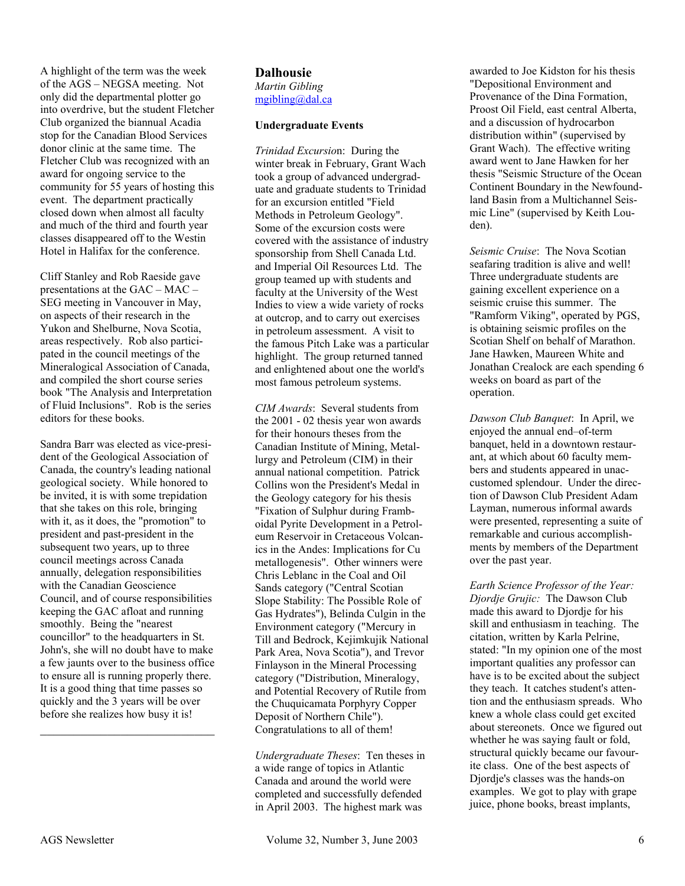A highlight of the term was the week of the AGS – NEGSA meeting. Not only did the departmental plotter go into overdrive, but the student Fletcher Club organized the biannual Acadia stop for the Canadian Blood Services donor clinic at the same time. The Fletcher Club was recognized with an award for ongoing service to the community for 55 years of hosting this event. The department practically closed down when almost all faculty and much of the third and fourth year classes disappeared off to the Westin Hotel in Halifax for the conference.

Cliff Stanley and Rob Raeside gave presentations at the GAC – MAC – SEG meeting in Vancouver in May, on aspects of their research in the Yukon and Shelburne, Nova Scotia, areas respectively. Rob also participated in the council meetings of the Mineralogical Association of Canada, and compiled the short course series book "The Analysis and Interpretation of Fluid Inclusions". Rob is the series editors for these books.

Sandra Barr was elected as vice-president of the Geological Association of Canada, the country's leading national geological society. While honored to be invited, it is with some trepidation that she takes on this role, bringing with it, as it does, the "promotion" to president and past-president in the subsequent two years, up to three council meetings across Canada annually, delegation responsibilities with the Canadian Geoscience Council, and of course responsibilities keeping the GAC afloat and running smoothly. Being the "nearest councillor" to the headquarters in St. John's, she will no doubt have to make a few jaunts over to the business office to ensure all is running properly there. It is a good thing that time passes so quickly and the 3 years will be over before she realizes how busy it is!

 $\mathcal{L}_\text{max}$  , where  $\mathcal{L}_\text{max}$  and  $\mathcal{L}_\text{max}$ 

#### **Dalhousie**  *Martin Gibling*  mgibling@dal.ca

#### **Undergraduate Events**

*Trinidad Excursio*n: During the winter break in February, Grant Wach took a group of advanced undergraduate and graduate students to Trinidad for an excursion entitled "Field Methods in Petroleum Geology". Some of the excursion costs were covered with the assistance of industry sponsorship from Shell Canada Ltd. and Imperial Oil Resources Ltd. The group teamed up with students and faculty at the University of the West Indies to view a wide variety of rocks at outcrop, and to carry out exercises in petroleum assessment. A visit to the famous Pitch Lake was a particular highlight. The group returned tanned and enlightened about one the world's most famous petroleum systems.

*CIM Awards*: Several students from the 2001 - 02 thesis year won awards for their honours theses from the Canadian Institute of Mining, Metallurgy and Petroleum (CIM) in their annual national competition. Patrick Collins won the President's Medal in the Geology category for his thesis "Fixation of Sulphur during Framboidal Pyrite Development in a Petroleum Reservoir in Cretaceous Volcanics in the Andes: Implications for Cu metallogenesis". Other winners were Chris Leblanc in the Coal and Oil Sands category ("Central Scotian Slope Stability: The Possible Role of Gas Hydrates"), Belinda Culgin in the Environment category ("Mercury in Till and Bedrock, Kejimkujik National Park Area, Nova Scotia"), and Trevor Finlayson in the Mineral Processing category ("Distribution, Mineralogy, and Potential Recovery of Rutile from the Chuquicamata Porphyry Copper Deposit of Northern Chile"). Congratulations to all of them!

*Undergraduate Theses*: Ten theses in a wide range of topics in Atlantic Canada and around the world were completed and successfully defended in April 2003. The highest mark was

awarded to Joe Kidston for his thesis "Depositional Environment and Provenance of the Dina Formation, Proost Oil Field, east central Alberta, and a discussion of hydrocarbon distribution within" (supervised by Grant Wach). The effective writing award went to Jane Hawken for her thesis "Seismic Structure of the Ocean Continent Boundary in the Newfoundland Basin from a Multichannel Seismic Line" (supervised by Keith Louden).

*Seismic Cruise*: The Nova Scotian seafaring tradition is alive and well! Three undergraduate students are gaining excellent experience on a seismic cruise this summer. The "Ramform Viking", operated by PGS, is obtaining seismic profiles on the Scotian Shelf on behalf of Marathon. Jane Hawken, Maureen White and Jonathan Crealock are each spending 6 weeks on board as part of the operation.

*Dawson Club Banquet*: In April, we enjoyed the annual end–of-term banquet, held in a downtown restaurant, at which about 60 faculty members and students appeared in unaccustomed splendour. Under the direction of Dawson Club President Adam Layman, numerous informal awards were presented, representing a suite of remarkable and curious accomplishments by members of the Department over the past year.

*Earth Science Professor of the Year: Djordje Grujic:* The Dawson Club made this award to Djordje for his skill and enthusiasm in teaching. The citation, written by Karla Pelrine, stated: "In my opinion one of the most important qualities any professor can have is to be excited about the subject they teach. It catches student's attention and the enthusiasm spreads. Who knew a whole class could get excited about stereonets. Once we figured out whether he was saying fault or fold, structural quickly became our favourite class. One of the best aspects of Djordje's classes was the hands-on examples. We got to play with grape juice, phone books, breast implants,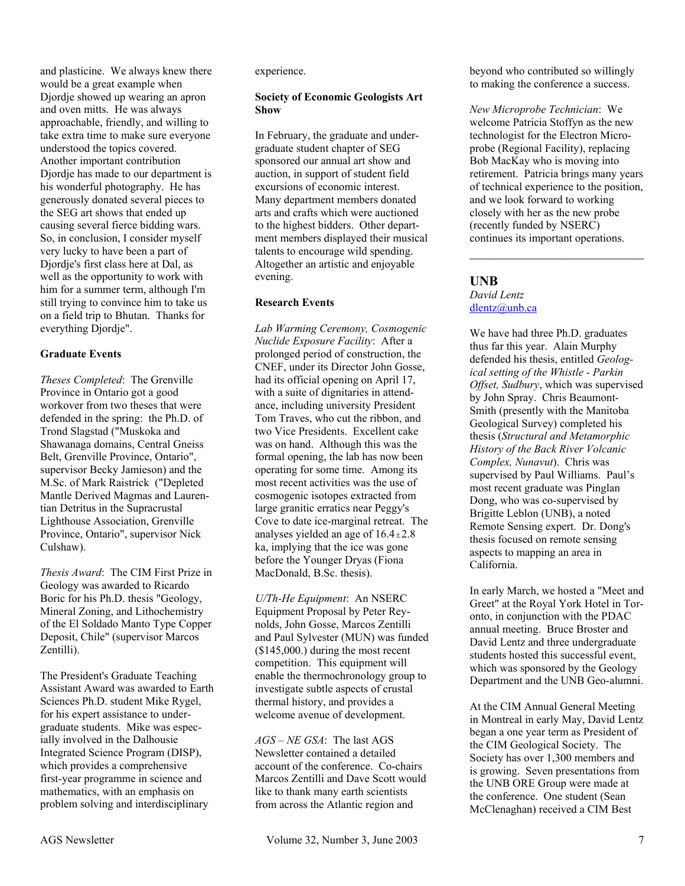and plasticine. We always knew there would be a great example when Djordje showed up wearing an apron and oven mitts. He was always approachable, friendly, and willing to take extra time to make sure everyone understood the topics covered. Another important contribution Djordje has made to our department is his wonderful photography. He has generously donated several pieces to the SEG art shows that ended up causing several fierce bidding wars. So, in conclusion, I consider myself very lucky to have been a part of Djordje's first class here at Dal, as well as the opportunity to work with him for a summer term, although I'm still trying to convince him to take us on a field trip to Bhutan. Thanks for everything Djordje".

#### **Graduate Events**

*Theses Completed*: The Grenville Province in Ontario got a good workover from two theses that were defended in the spring: the Ph.D. of Trond Slagstad ("Muskoka and Shawanaga domains, Central Gneiss Belt, Grenville Province, Ontario", supervisor Becky Jamieson) and the M.Sc. of Mark Raistrick ("Depleted Mantle Derived Magmas and Laurentian Detritus in the Supracrustal Lighthouse Association, Grenville Province, Ontario", supervisor Nick Culshaw).

*Thesis Award*: The CIM First Prize in Geology was awarded to Ricardo Boric for his Ph.D. thesis "Geology, Mineral Zoning, and Lithochemistry of the El Soldado Manto Type Copper Deposit, Chile" (supervisor Marcos Zentilli).

The President's Graduate Teaching Assistant Award was awarded to Earth Sciences Ph.D. student Mike Rygel, for his expert assistance to undergraduate students. Mike was especially involved in the Dalhousie Integrated Science Program (DISP), which provides a comprehensive first-year programme in science and mathematics, with an emphasis on problem solving and interdisciplinary

experience.

#### **Society of Economic Geologists Art Show**

In February, the graduate and undergraduate student chapter of SEG sponsored our annual art show and auction, in support of student field excursions of economic interest. Many department members donated arts and crafts which were auctioned to the highest bidders. Other department members displayed their musical talents to encourage wild spending. Altogether an artistic and enjoyable evening.

#### **Research Events**

*Lab Warming Ceremony, Cosmogenic Nuclide Exposure Facility*: After a prolonged period of construction, the CNEF, under its Director John Gosse, had its official opening on April 17, with a suite of dignitaries in attendance, including university President Tom Traves, who cut the ribbon, and two Vice Presidents. Excellent cake was on hand. Although this was the formal opening, the lab has now been operating for some time. Among its most recent activities was the use of cosmogenic isotopes extracted from large granitic erratics near Peggy's Cove to date ice-marginal retreat. The analyses yielded an age of  $16.4 \pm 2.8$ ka, implying that the ice was gone before the Younger Dryas (Fiona MacDonald, B.Sc. thesis).

*U/Th-He Equipment*: An NSERC Equipment Proposal by Peter Reynolds, John Gosse, Marcos Zentilli and Paul Sylvester (MUN) was funded (\$145,000.) during the most recent competition. This equipment will enable the thermochronology group to investigate subtle aspects of crustal thermal history, and provides a welcome avenue of development.

*AGS – NE GSA*: The last AGS Newsletter contained a detailed account of the conference. Co-chairs Marcos Zentilli and Dave Scott would like to thank many earth scientists from across the Atlantic region and

beyond who contributed so willingly to making the conference a success.

*New Microprobe Technician*: We welcome Patricia Stoffyn as the new technologist for the Electron Microprobe (Regional Facility), replacing Bob MacKay who is moving into retirement. Patricia brings many years of technical experience to the position, and we look forward to working closely with her as the new probe (recently funded by NSERC) continues its important operations.

 $\mathcal{L}_\text{max}$  , where  $\mathcal{L}_\text{max}$  and  $\mathcal{L}_\text{max}$ 

#### **UNB**

#### *David Lentz*  dlentz@unb.ca

We have had three Ph.D. graduates thus far this year. Alain Murphy defended his thesis, entitled *Geological setting of the Whistle - Parkin Offset, Sudbury*, which was supervised by John Spray. Chris Beaumont-Smith (presently with the Manitoba Geological Survey) completed his thesis (*Structural and Metamorphic History of the Back River Volcanic Complex, Nunavut*). Chris was supervised by Paul Williams. Paul's most recent graduate was Pinglan Dong, who was co-supervised by Brigitte Leblon (UNB), a noted Remote Sensing expert. Dr. Dong's thesis focused on remote sensing aspects to mapping an area in California.

In early March, we hosted a "Meet and Greet" at the Royal York Hotel in Toronto, in conjunction with the PDAC annual meeting. Bruce Broster and David Lentz and three undergraduate students hosted this successful event, which was sponsored by the Geology Department and the UNB Geo-alumni.

At the CIM Annual General Meeting in Montreal in early May, David Lentz began a one year term as President of the CIM Geological Society. The Society has over 1,300 members and is growing. Seven presentations from the UNB ORE Group were made at the conference. One student (Sean McClenaghan) received a CIM Best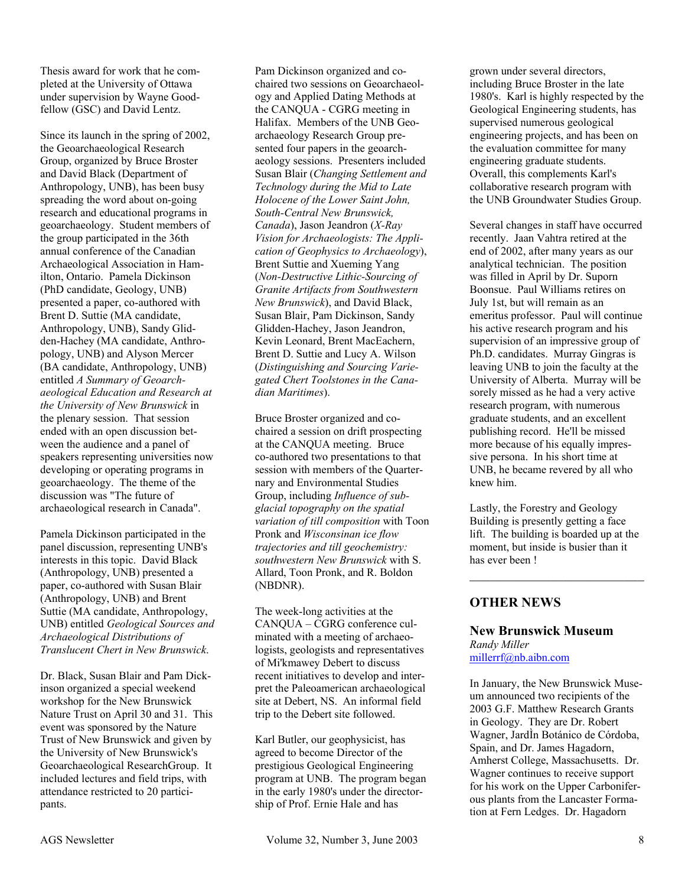Thesis award for work that he completed at the University of Ottawa under supervision by Wayne Goodfellow (GSC) and David Lentz.

Since its launch in the spring of 2002, the Geoarchaeological Research Group, organized by Bruce Broster and David Black (Department of Anthropology, UNB), has been busy spreading the word about on-going research and educational programs in geoarchaeology. Student members of the group participated in the 36th annual conference of the Canadian Archaeological Association in Hamilton, Ontario. Pamela Dickinson (PhD candidate, Geology, UNB) presented a paper, co-authored with Brent D. Suttie (MA candidate, Anthropology, UNB), Sandy Glidden-Hachey (MA candidate, Anthropology, UNB) and Alyson Mercer (BA candidate, Anthropology, UNB) entitled *A Summary of Geoarchaeological Education and Research at the University of New Brunswick* in the plenary session. That session ended with an open discussion between the audience and a panel of speakers representing universities now developing or operating programs in geoarchaeology. The theme of the discussion was "The future of archaeological research in Canada".

Pamela Dickinson participated in the panel discussion, representing UNB's interests in this topic. David Black (Anthropology, UNB) presented a paper, co-authored with Susan Blair (Anthropology, UNB) and Brent Suttie (MA candidate, Anthropology, UNB) entitled *Geological Sources and Archaeological Distributions of Translucent Chert in New Brunswick*.

Dr. Black, Susan Blair and Pam Dickinson organized a special weekend workshop for the New Brunswick Nature Trust on April 30 and 31. This event was sponsored by the Nature Trust of New Brunswick and given by the University of New Brunswick's Geoarchaeological ResearchGroup. It included lectures and field trips, with attendance restricted to 20 participants.

Pam Dickinson organized and cochaired two sessions on Geoarchaeology and Applied Dating Methods at the CANQUA - CGRG meeting in Halifax. Members of the UNB Geoarchaeology Research Group presented four papers in the geoarchaeology sessions. Presenters included Susan Blair (*Changing Settlement and Technology during the Mid to Late Holocene of the Lower Saint John, South-Central New Brunswick, Canada*), Jason Jeandron (*X-Ray Vision for Archaeologists: The Application of Geophysics to Archaeology*), Brent Suttie and Xueming Yang (*Non-Destructive Lithic-Sourcing of Granite Artifacts from Southwestern New Brunswick*), and David Black, Susan Blair, Pam Dickinson, Sandy Glidden-Hachey, Jason Jeandron, Kevin Leonard, Brent MacEachern, Brent D. Suttie and Lucy A. Wilson (*Distinguishing and Sourcing Variegated Chert Toolstones in the Canadian Maritimes*).

Bruce Broster organized and cochaired a session on drift prospecting at the CANQUA meeting. Bruce co-authored two presentations to that session with members of the Quarternary and Environmental Studies Group, including *Influence of subglacial topography on the spatial variation of till composition* with Toon Pronk and *Wisconsinan ice flow trajectories and till geochemistry: southwestern New Brunswick* with S. Allard, Toon Pronk, and R. Boldon (NBDNR).

The week-long activities at the CANQUA – CGRG conference culminated with a meeting of archaeologists, geologists and representatives of Mi'kmawey Debert to discuss recent initiatives to develop and interpret the Paleoamerican archaeological site at Debert, NS. An informal field trip to the Debert site followed.

Karl Butler, our geophysicist, has agreed to become Director of the prestigious Geological Engineering program at UNB. The program began in the early 1980's under the directorship of Prof. Ernie Hale and has

grown under several directors, including Bruce Broster in the late 1980's. Karl is highly respected by the Geological Engineering students, has supervised numerous geological engineering projects, and has been on the evaluation committee for many engineering graduate students. Overall, this complements Karl's collaborative research program with the UNB Groundwater Studies Group.

Several changes in staff have occurred recently. Jaan Vahtra retired at the end of 2002, after many years as our analytical technician. The position was filled in April by Dr. Suporn Boonsue. Paul Williams retires on July 1st, but will remain as an emeritus professor. Paul will continue his active research program and his supervision of an impressive group of Ph.D. candidates. Murray Gingras is leaving UNB to join the faculty at the University of Alberta. Murray will be sorely missed as he had a very active research program, with numerous graduate students, and an excellent publishing record. He'll be missed more because of his equally impressive persona. In his short time at UNB, he became revered by all who knew him.

Lastly, the Forestry and Geology Building is presently getting a face lift. The building is boarded up at the moment, but inside is busier than it has ever been !

 $\mathcal{L}_\text{max}$  , where  $\mathcal{L}_\text{max}$  and  $\mathcal{L}_\text{max}$ 

# **OTHER NEWS**

# **New Brunswick Museum**  *Randy Miller*

millerrf@nb.aibn.com

In January, the New Brunswick Museum announced two recipients of the 2003 G.F. Matthew Research Grants in Geology. They are Dr. Robert Wagner, JardÌn Botánico de Córdoba, Spain, and Dr. James Hagadorn, Amherst College, Massachusetts. Dr. Wagner continues to receive support for his work on the Upper Carboniferous plants from the Lancaster Formation at Fern Ledges. Dr. Hagadorn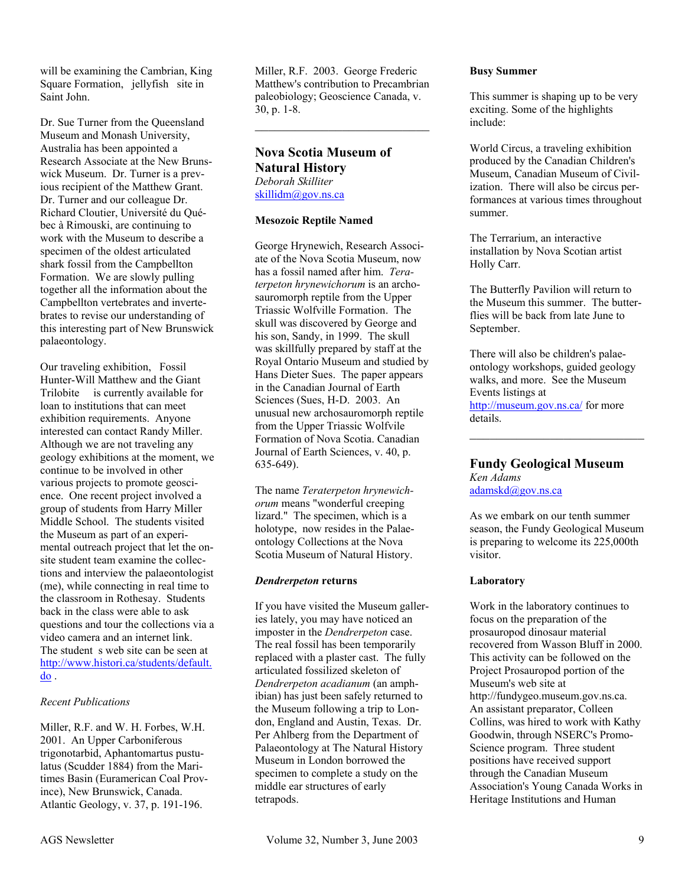will be examining the Cambrian, King Square Formation, jellyfish site in Saint John.

Dr. Sue Turner from the Queensland Museum and Monash University, Australia has been appointed a Research Associate at the New Brunswick Museum. Dr. Turner is a previous recipient of the Matthew Grant. Dr. Turner and our colleague Dr. Richard Cloutier, Université du Québec à Rimouski, are continuing to work with the Museum to describe a specimen of the oldest articulated shark fossil from the Campbellton Formation. We are slowly pulling together all the information about the Campbellton vertebrates and invertebrates to revise our understanding of this interesting part of New Brunswick palaeontology.

Our traveling exhibition, Fossil Hunter-Will Matthew and the Giant Trilobite is currently available for loan to institutions that can meet exhibition requirements. Anyone interested can contact Randy Miller. Although we are not traveling any geology exhibitions at the moment, we continue to be involved in other various projects to promote geoscience. One recent project involved a group of students from Harry Miller Middle School. The students visited the Museum as part of an experimental outreach project that let the onsite student team examine the collections and interview the palaeontologist (me), while connecting in real time to the classroom in Rothesay. Students back in the class were able to ask questions and tour the collections via a video camera and an internet link. The student s web site can be seen at http://www.histori.ca/students/default. do .

#### *Recent Publications*

Miller, R.F. and W. H. Forbes, W.H. 2001. An Upper Carboniferous trigonotarbid, Aphantomartus pustulatus (Scudder 1884) from the Maritimes Basin (Euramerican Coal Province), New Brunswick, Canada. Atlantic Geology, v. 37, p. 191-196.

Miller, R.F. 2003. George Frederic Matthew's contribution to Precambrian paleobiology; Geoscience Canada, v. 30, p. 1-8.

 $\mathcal{L}_\text{max}$ 

#### **Nova Scotia Museum of Natural History**  *Deborah Skilliter*  skillidm@gov.ns.ca

#### **Mesozoic Reptile Named**

George Hrynewich, Research Associate of the Nova Scotia Museum, now has a fossil named after him. *Teraterpeton hrynewichorum* is an archosauromorph reptile from the Upper Triassic Wolfville Formation. The skull was discovered by George and his son, Sandy, in 1999. The skull was skillfully prepared by staff at the Royal Ontario Museum and studied by Hans Dieter Sues. The paper appears in the Canadian Journal of Earth Sciences (Sues, H-D. 2003. An unusual new archosauromorph reptile from the Upper Triassic Wolfvile Formation of Nova Scotia. Canadian Journal of Earth Sciences, v. 40, p. 635-649).

The name *Teraterpeton hrynewichorum* means "wonderful creeping lizard." The specimen, which is a holotype, now resides in the Palaeontology Collections at the Nova Scotia Museum of Natural History.

#### *Dendrerpeton* **returns**

If you have visited the Museum galleries lately, you may have noticed an imposter in the *Dendrerpeton* case. The real fossil has been temporarily replaced with a plaster cast. The fully articulated fossilized skeleton of *Dendrerpeton acadianum* (an amphibian) has just been safely returned to the Museum following a trip to London, England and Austin, Texas. Dr. Per Ahlberg from the Department of Palaeontology at The Natural History Museum in London borrowed the specimen to complete a study on the middle ear structures of early tetrapods.

#### **Busy Summer**

This summer is shaping up to be very exciting. Some of the highlights include:

World Circus, a traveling exhibition produced by the Canadian Children's Museum, Canadian Museum of Civilization. There will also be circus performances at various times throughout summer.

The Terrarium, an interactive installation by Nova Scotian artist Holly Carr.

The Butterfly Pavilion will return to the Museum this summer. The butterflies will be back from late June to September.

There will also be children's palaeontology workshops, guided geology walks, and more. See the Museum Events listings at http://museum.gov.ns.ca/ for more details.  $\mathcal{L}_\text{max}$ 

#### **Fundy Geological Museum**  *Ken Adams*  adamskd@gov.ns.ca

As we embark on our tenth summer season, the Fundy Geological Museum is preparing to welcome its 225,000th visitor.

#### **Laboratory**

Work in the laboratory continues to focus on the preparation of the prosauropod dinosaur material recovered from Wasson Bluff in 2000. This activity can be followed on the Project Prosauropod portion of the Museum's web site at http://fundygeo.museum.gov.ns.ca. An assistant preparator, Colleen Collins, was hired to work with Kathy Goodwin, through NSERC's Promo-Science program. Three student positions have received support through the Canadian Museum Association's Young Canada Works in Heritage Institutions and Human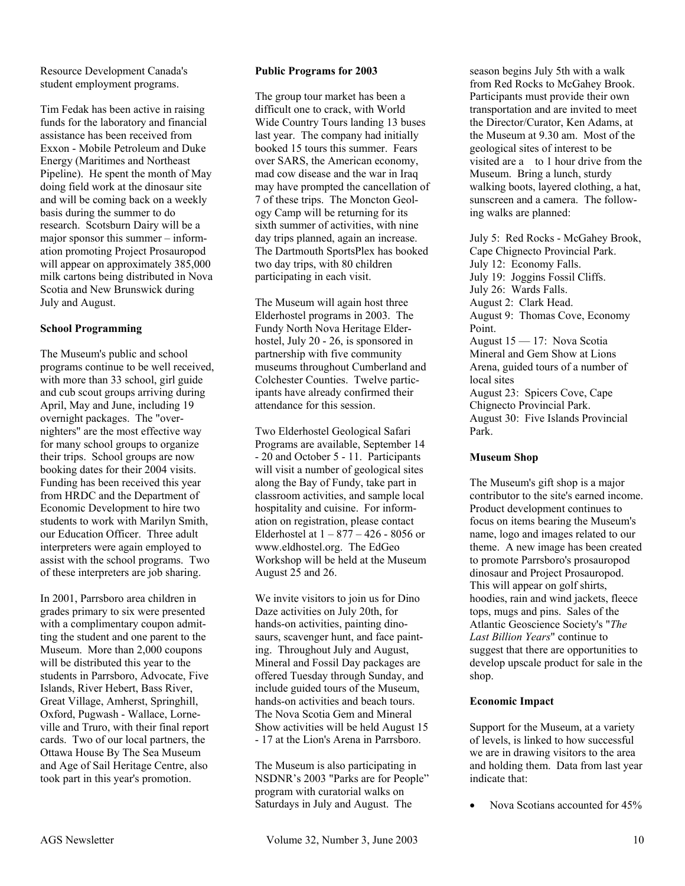Resource Development Canada's student employment programs.

Tim Fedak has been active in raising funds for the laboratory and financial assistance has been received from Exxon - Mobile Petroleum and Duke Energy (Maritimes and Northeast Pipeline). He spent the month of May doing field work at the dinosaur site and will be coming back on a weekly basis during the summer to do research. Scotsburn Dairy will be a major sponsor this summer – information promoting Project Prosauropod will appear on approximately 385,000 milk cartons being distributed in Nova Scotia and New Brunswick during July and August.

#### **School Programming**

The Museum's public and school programs continue to be well received, with more than 33 school, girl guide and cub scout groups arriving during April, May and June, including 19 overnight packages. The "overnighters" are the most effective way for many school groups to organize their trips. School groups are now booking dates for their 2004 visits. Funding has been received this year from HRDC and the Department of Economic Development to hire two students to work with Marilyn Smith, our Education Officer. Three adult interpreters were again employed to assist with the school programs. Two of these interpreters are job sharing.

In 2001, Parrsboro area children in grades primary to six were presented with a complimentary coupon admitting the student and one parent to the Museum. More than 2,000 coupons will be distributed this year to the students in Parrsboro, Advocate, Five Islands, River Hebert, Bass River, Great Village, Amherst, Springhill, Oxford, Pugwash - Wallace, Lorneville and Truro, with their final report cards. Two of our local partners, the Ottawa House By The Sea Museum and Age of Sail Heritage Centre, also took part in this year's promotion.

#### **Public Programs for 2003**

The group tour market has been a difficult one to crack, with World Wide Country Tours landing 13 buses last year. The company had initially booked 15 tours this summer. Fears over SARS, the American economy, mad cow disease and the war in Iraq may have prompted the cancellation of 7 of these trips. The Moncton Geology Camp will be returning for its sixth summer of activities, with nine day trips planned, again an increase. The Dartmouth SportsPlex has booked two day trips, with 80 children participating in each visit.

The Museum will again host three Elderhostel programs in 2003. The Fundy North Nova Heritage Elderhostel, July 20 - 26, is sponsored in partnership with five community museums throughout Cumberland and Colchester Counties. Twelve participants have already confirmed their attendance for this session.

Two Elderhostel Geological Safari Programs are available, September 14 - 20 and October 5 - 11. Participants will visit a number of geological sites along the Bay of Fundy, take part in classroom activities, and sample local hospitality and cuisine. For information on registration, please contact Elderhostel at 1 – 877 – 426 - 8056 or www.eldhostel.org. The EdGeo Workshop will be held at the Museum August 25 and 26.

We invite visitors to join us for Dino Daze activities on July 20th, for hands-on activities, painting dinosaurs, scavenger hunt, and face painting. Throughout July and August, Mineral and Fossil Day packages are offered Tuesday through Sunday, and include guided tours of the Museum, hands-on activities and beach tours. The Nova Scotia Gem and Mineral Show activities will be held August 15 - 17 at the Lion's Arena in Parrsboro.

The Museum is also participating in NSDNR's 2003 "Parks are for People" program with curatorial walks on Saturdays in July and August. The

season begins July 5th with a walk from Red Rocks to McGahey Brook. Participants must provide their own transportation and are invited to meet the Director/Curator, Ken Adams, at the Museum at 9.30 am. Most of the geological sites of interest to be visited are a to 1 hour drive from the Museum. Bring a lunch, sturdy walking boots, layered clothing, a hat, sunscreen and a camera. The following walks are planned:

July 5: Red Rocks - McGahey Brook, Cape Chignecto Provincial Park. July 12: Economy Falls. July 19: Joggins Fossil Cliffs. July 26: Wards Falls. August 2: Clark Head. August 9: Thomas Cove, Economy Point. August 15 — 17: Nova Scotia Mineral and Gem Show at Lions Arena, guided tours of a number of local sites August 23: Spicers Cove, Cape Chignecto Provincial Park. August 30: Five Islands Provincial Park.

#### **Museum Shop**

The Museum's gift shop is a major contributor to the site's earned income. Product development continues to focus on items bearing the Museum's name, logo and images related to our theme. A new image has been created to promote Parrsboro's prosauropod dinosaur and Project Prosauropod. This will appear on golf shirts, hoodies, rain and wind jackets, fleece tops, mugs and pins. Sales of the Atlantic Geoscience Society's "*The Last Billion Years*" continue to suggest that there are opportunities to develop upscale product for sale in the shop.

#### **Economic Impact**

Support for the Museum, at a variety of levels, is linked to how successful we are in drawing visitors to the area and holding them. Data from last year indicate that:

• Nova Scotians accounted for 45%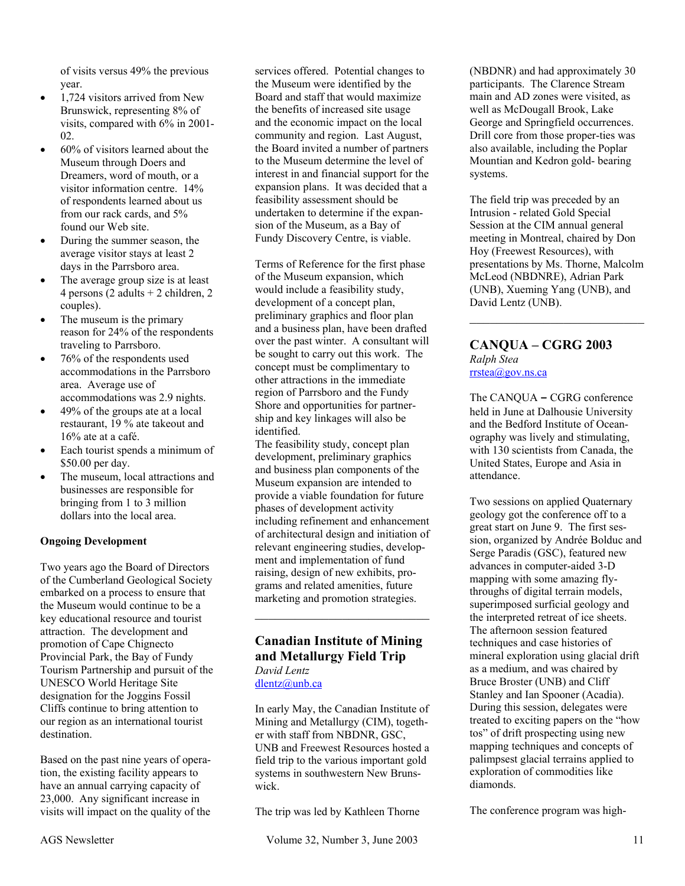of visits versus 49% the previous year.

- 1,724 visitors arrived from New Brunswick, representing 8% of visits, compared with 6% in 2001- 02.
- 60% of visitors learned about the Museum through Doers and Dreamers, word of mouth, or a visitor information centre. 14% of respondents learned about us from our rack cards, and 5% found our Web site.
- During the summer season, the average visitor stays at least 2 days in the Parrsboro area.
- The average group size is at least 4 persons (2 adults + 2 children, 2 couples).
- The museum is the primary reason for 24% of the respondents traveling to Parrsboro.
- 76% of the respondents used accommodations in the Parrsboro area. Average use of accommodations was 2.9 nights.
- 49% of the groups ate at a local restaurant, 19 % ate takeout and 16% ate at a café.
- Each tourist spends a minimum of \$50.00 per day.
- The museum, local attractions and businesses are responsible for bringing from 1 to 3 million dollars into the local area.

#### **Ongoing Development**

Two years ago the Board of Directors of the Cumberland Geological Society embarked on a process to ensure that the Museum would continue to be a key educational resource and tourist attraction. The development and promotion of Cape Chignecto Provincial Park, the Bay of Fundy Tourism Partnership and pursuit of the UNESCO World Heritage Site designation for the Joggins Fossil Cliffs continue to bring attention to our region as an international tourist destination.

Based on the past nine years of operation, the existing facility appears to have an annual carrying capacity of 23,000. Any significant increase in visits will impact on the quality of the

services offered. Potential changes to the Museum were identified by the Board and staff that would maximize the benefits of increased site usage and the economic impact on the local community and region. Last August, the Board invited a number of partners to the Museum determine the level of interest in and financial support for the expansion plans. It was decided that a feasibility assessment should be undertaken to determine if the expansion of the Museum, as a Bay of Fundy Discovery Centre, is viable.

Terms of Reference for the first phase of the Museum expansion, which would include a feasibility study, development of a concept plan, preliminary graphics and floor plan and a business plan, have been drafted over the past winter. A consultant will be sought to carry out this work. The concept must be complimentary to other attractions in the immediate region of Parrsboro and the Fundy Shore and opportunities for partnership and key linkages will also be identified.

The feasibility study, concept plan development, preliminary graphics and business plan components of the Museum expansion are intended to provide a viable foundation for future phases of development activity including refinement and enhancement of architectural design and initiation of relevant engineering studies, development and implementation of fund raising, design of new exhibits, programs and related amenities, future marketing and promotion strategies.

# **Canadian Institute of Mining and Metallurgy Field Trip**

 $\mathcal{L}_\text{max}$  , where  $\mathcal{L}_\text{max}$  and  $\mathcal{L}_\text{max}$ 

*David Lentz*  dlentz@unb.ca

In early May, the Canadian Institute of Mining and Metallurgy (CIM), together with staff from NBDNR, GSC, UNB and Freewest Resources hosted a field trip to the various important gold systems in southwestern New Brunswick.

The trip was led by Kathleen Thorne

(NBDNR) and had approximately 30 participants. The Clarence Stream main and AD zones were visited, as well as McDougall Brook, Lake George and Springfield occurrences. Drill core from those proper-ties was also available, including the Poplar Mountian and Kedron gold- bearing systems.

The field trip was preceded by an Intrusion - related Gold Special Session at the CIM annual general meeting in Montreal, chaired by Don Hoy (Freewest Resources), with presentations by Ms. Thorne, Malcolm McLeod (NBDNRE), Adrian Park (UNB), Xueming Yang (UNB), and David Lentz (UNB).

 $\mathcal{L}_\text{max}$ 

#### **CANQUA – CGRG 2003**  *Ralph Stea*  rrstea@gov.ns.ca

The CANQUA **–** CGRG conference held in June at Dalhousie University and the Bedford Institute of Oceanography was lively and stimulating, with 130 scientists from Canada, the United States, Europe and Asia in attendance.

Two sessions on applied Quaternary geology got the conference off to a great start on June 9. The first session, organized by Andrée Bolduc and Serge Paradis (GSC), featured new advances in computer-aided 3-D mapping with some amazing flythroughs of digital terrain models, superimposed surficial geology and the interpreted retreat of ice sheets. The afternoon session featured techniques and case histories of mineral exploration using glacial drift as a medium, and was chaired by Bruce Broster (UNB) and Cliff Stanley and Ian Spooner (Acadia). During this session, delegates were treated to exciting papers on the "how tos" of drift prospecting using new mapping techniques and concepts of palimpsest glacial terrains applied to exploration of commodities like diamonds.

The conference program was high-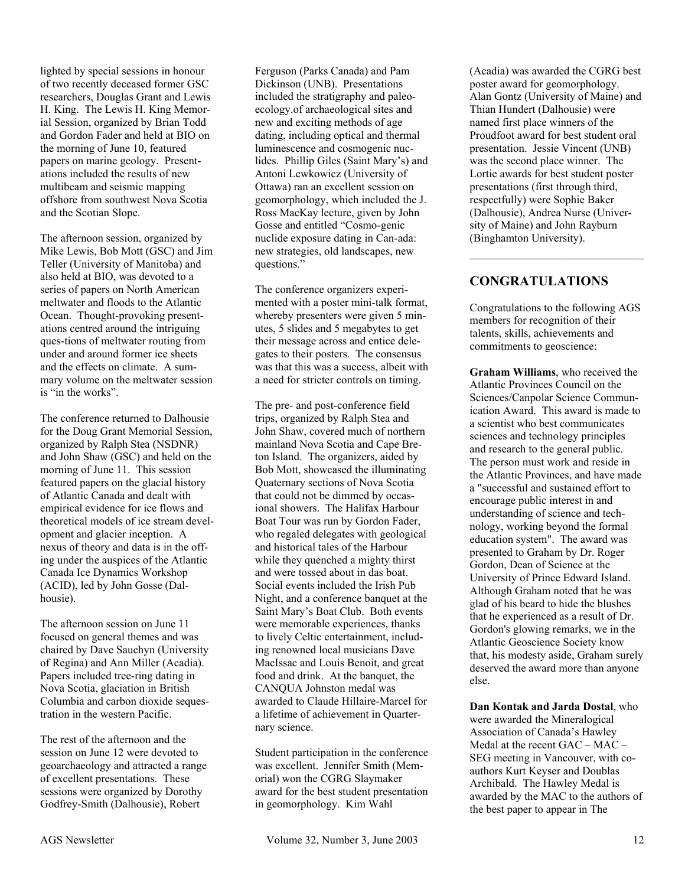lighted by special sessions in honour of two recently deceased former GSC researchers, Douglas Grant and Lewis H. King. The Lewis H. King Memorial Session, organized by Brian Todd and Gordon Fader and held at BIO on the morning of June 10, featured papers on marine geology. Presentations included the results of new multibeam and seismic mapping offshore from southwest Nova Scotia and the Scotian Slope.

The afternoon session, organized by Mike Lewis, Bob Mott (GSC) and Jim Teller (University of Manitoba) and also held at BIO, was devoted to a series of papers on North American meltwater and floods to the Atlantic Ocean. Thought-provoking presentations centred around the intriguing ques-tions of meltwater routing from under and around former ice sheets and the effects on climate. A summary volume on the meltwater session is "in the works".

The conference returned to Dalhousie for the Doug Grant Memorial Session, organized by Ralph Stea (NSDNR) and John Shaw (GSC) and held on the morning of June 11. This session featured papers on the glacial history of Atlantic Canada and dealt with empirical evidence for ice flows and theoretical models of ice stream development and glacier inception. A nexus of theory and data is in the offing under the auspices of the Atlantic Canada Ice Dynamics Workshop (ACID), led by John Gosse (Dalhousie).

The afternoon session on June 11 focused on general themes and was chaired by Dave Sauchyn (University of Regina) and Ann Miller (Acadia). Papers included tree-ring dating in Nova Scotia, glaciation in British Columbia and carbon dioxide sequestration in the western Pacific.

The rest of the afternoon and the session on June 12 were devoted to geoarchaeology and attracted a range of excellent presentations. These sessions were organized by Dorothy Godfrey-Smith (Dalhousie), Robert

Ferguson (Parks Canada) and Pam Dickinson (UNB). Presentations included the stratigraphy and paleoecology.of archaeological sites and new and exciting methods of age dating, including optical and thermal luminescence and cosmogenic nuclides. Phillip Giles (Saint Mary's) and Antoni Lewkowicz (University of Ottawa) ran an excellent session on geomorphology, which included the J. Ross MacKay lecture, given by John Gosse and entitled "Cosmo-genic nuclide exposure dating in Can-ada: new strategies, old landscapes, new questions."

The conference organizers experimented with a poster mini-talk format, whereby presenters were given 5 minutes, 5 slides and 5 megabytes to get their message across and entice delegates to their posters. The consensus was that this was a success, albeit with a need for stricter controls on timing.

The pre- and post-conference field trips, organized by Ralph Stea and John Shaw, covered much of northern mainland Nova Scotia and Cape Breton Island. The organizers, aided by Bob Mott, showcased the illuminating Quaternary sections of Nova Scotia that could not be dimmed by occasional showers. The Halifax Harbour Boat Tour was run by Gordon Fader, who regaled delegates with geological and historical tales of the Harbour while they quenched a mighty thirst and were tossed about in das boat. Social events included the Irish Pub Night, and a conference banquet at the Saint Mary's Boat Club. Both events were memorable experiences, thanks to lively Celtic entertainment, including renowned local musicians Dave MacIssac and Louis Benoit, and great food and drink. At the banquet, the CANQUA Johnston medal was awarded to Claude Hillaire-Marcel for a lifetime of achievement in Quarternary science.

Student participation in the conference was excellent. Jennifer Smith (Memorial) won the CGRG Slaymaker award for the best student presentation in geomorphology. Kim Wahl

(Acadia) was awarded the CGRG best poster award for geomorphology. Alan Gontz (University of Maine) and Thian Hundert (Dalhousie) were named first place winners of the Proudfoot award for best student oral presentation. Jessie Vincent (UNB) was the second place winner. The Lortie awards for best student poster presentations (first through third, respectfully) were Sophie Baker (Dalhousie), Andrea Nurse (University of Maine) and John Rayburn (Binghamton University).

# **CONGRATULATIONS**

Congratulations to the following AGS members for recognition of their talents, skills, achievements and commitments to geoscience:

 $\mathcal{L}=\mathcal{L}=\mathcal{L}=\mathcal{L}=\mathcal{L}=\mathcal{L}=\mathcal{L}=\mathcal{L}=\mathcal{L}=\mathcal{L}=\mathcal{L}=\mathcal{L}=\mathcal{L}=\mathcal{L}=\mathcal{L}=\mathcal{L}=\mathcal{L}=\mathcal{L}=\mathcal{L}=\mathcal{L}=\mathcal{L}=\mathcal{L}=\mathcal{L}=\mathcal{L}=\mathcal{L}=\mathcal{L}=\mathcal{L}=\mathcal{L}=\mathcal{L}=\mathcal{L}=\mathcal{L}=\mathcal{L}=\mathcal{L}=\mathcal{L}=\mathcal{L}=\mathcal{L}=\mathcal{$ 

**Graham Williams**, who received the Atlantic Provinces Council on the Sciences/Canpolar Science Communication Award. This award is made to a scientist who best communicates sciences and technology principles and research to the general public. The person must work and reside in the Atlantic Provinces, and have made a "successful and sustained effort to encourage public interest in and understanding of science and technology, working beyond the formal education system". The award was presented to Graham by Dr. Roger Gordon, Dean of Science at the University of Prince Edward Island. Although Graham noted that he was glad of his beard to hide the blushes that he experienced as a result of Dr. Gordon's glowing remarks, we in the Atlantic Geoscience Society know that, his modesty aside, Graham surely deserved the award more than anyone else.

**Dan Kontak and Jarda Dostal**, who were awarded the Mineralogical Association of Canada's Hawley Medal at the recent GAC – MAC – SEG meeting in Vancouver, with coauthors Kurt Keyser and Doublas Archibald. The Hawley Medal is awarded by the MAC to the authors of the best paper to appear in The